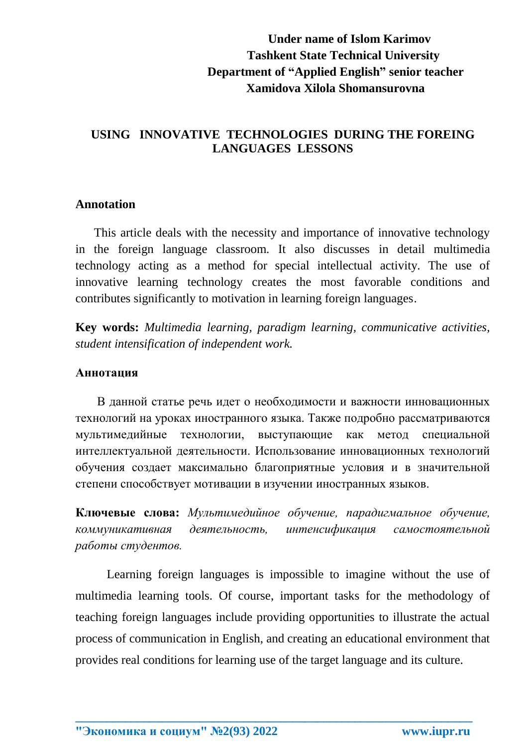# **Under name of Islom Karimov Tashkent State Technical University Department of "Applied English" senior teacher Xamidova Xilola Shomansurovna**

## **USING INNOVATIVE TECHNOLOGIES DURING THE FOREING LANGUAGES LESSONS**

#### **Annotation**

 This article deals with the necessity and importance of innovative technology in the foreign language classroom. It also discusses in detail multimedia technology acting as a method for special intellectual activity. The use of innovative learning technology creates the most favorable conditions and contributes significantly to motivation in learning foreign languages.

**Key words:** *Multimedia learning, paradigm learning, communicative activities, student intensification of independent work.*

#### **Аннотация**

 В данной статье речь идет о необходимости и важности инновационных технологий на уроках иностранного языка. Также подробно рассматриваются мультимедийные технологии, выступающие как метод специальной интеллектуальной деятельности. Использование инновационных технологий обучения создает максимально благоприятные условия и в значительной степени способствует мотивации в изучении иностранных языков.

**Ключевые слова:** *Мультимедийное обучение, парадигмальное обучение, коммуникативная деятельность, интенсификация самостоятельной работы студентов.*

Learning foreign languages is impossible to imagine without the use of multimedia learning tools. Of course, important tasks for the methodology of teaching foreign languages include providing opportunities to illustrate the actual process of communication in English, and creating an educational environment that provides real conditions for learning use of the target language and its culture.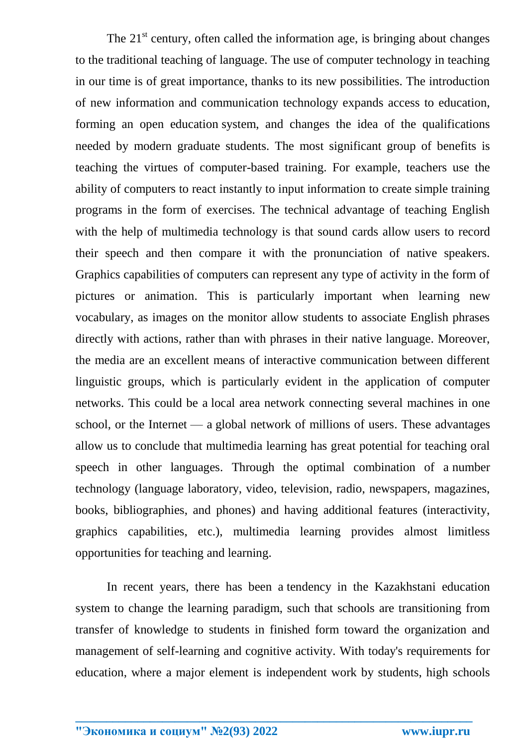The  $21<sup>st</sup>$  century, often called the information age, is bringing about changes to the traditional teaching of language. The use of computer technology in teaching in our time is of great importance, thanks to its new possibilities. The introduction of new information and communication technology expands access to education, forming an open education system, and changes the idea of the qualifications needed by modern graduate students. The most significant group of benefits is teaching the virtues of computer-based training. For example, teachers use the ability of computers to react instantly to input information to create simple training programs in the form of exercises. The technical advantage of teaching English with the help of multimedia technology is that sound cards allow users to record their speech and then compare it with the pronunciation of native speakers. Graphics capabilities of computers can represent any type of activity in the form of pictures or animation. This is particularly important when learning new vocabulary, as images on the monitor allow students to associate English phrases directly with actions, rather than with phrases in their native language. Moreover, the media are an excellent means of interactive communication between different linguistic groups, which is particularly evident in the application of computer networks. This could be a local area network connecting several machines in one school, or the Internet — a global network of millions of users. These advantages allow us to conclude that multimedia learning has great potential for teaching oral speech in other languages. Through the optimal combination of a number technology (language laboratory, video, television, radio, newspapers, magazines, books, bibliographies, and phones) and having additional features (interactivity, graphics capabilities, etc.), multimedia learning provides almost limitless opportunities for teaching and learning.

In recent years, there has been a tendency in the Kazakhstani education system to change the learning paradigm, such that schools are transitioning from transfer of knowledge to students in finished form toward the organization and management of self-learning and cognitive activity. With today's requirements for education, where a major element is independent work by students, high schools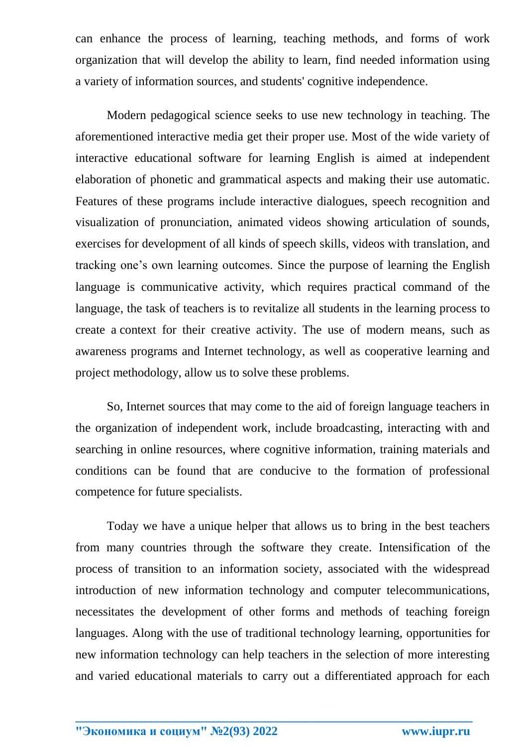can enhance the process of learning, teaching methods, and forms of work organization that will develop the ability to learn, find needed information using a variety of information sources, and students' cognitive independence.

Modern pedagogical science seeks to use new technology in teaching. The aforementioned interactive media get their proper use. Most of the wide variety of interactive educational software for learning English is aimed at independent elaboration of phonetic and grammatical aspects and making their use automatic. Features of these programs include interactive dialogues, speech recognition and visualization of pronunciation, animated videos showing articulation of sounds, exercises for development of all kinds of speech skills, videos with translation, and tracking one's own learning outcomes. Since the purpose of learning the English language is communicative activity, which requires practical command of the language, the task of teachers is to revitalize all students in the learning process to create a context for their creative activity. The use of modern means, such as awareness programs and Internet technology, as well as cooperative learning and project methodology, allow us to solve these problems.

So, Internet sources that may come to the aid of foreign language teachers in the organization of independent work, include broadcasting, interacting with and searching in online resources, where cognitive information, training materials and conditions can be found that are conducive to the formation of professional competence for future specialists.

Today we have a unique helper that allows us to bring in the best teachers from many countries through the software they create. Intensification of the process of transition to an information society, associated with the widespread introduction of new information technology and computer telecommunications, necessitates the development of other forms and methods of teaching foreign languages. Along with the use of traditional technology learning, opportunities for new information technology can help teachers in the selection of more interesting and varied educational materials to carry out a differentiated approach for each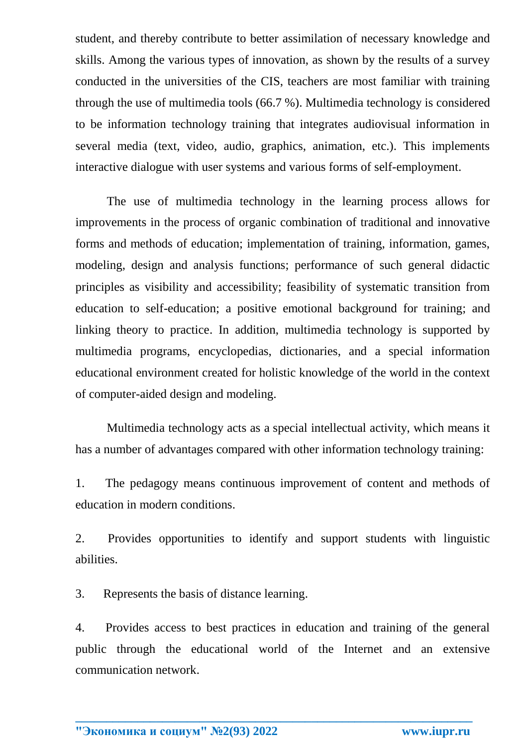student, and thereby contribute to better assimilation of necessary knowledge and skills. Among the various types of innovation, as shown by the results of a survey conducted in the universities of the CIS, teachers are most familiar with training through the use of multimedia tools (66.7 %). Multimedia technology is considered to be information technology training that integrates audiovisual information in several media (text, video, audio, graphics, animation, etc.). This implements interactive dialogue with user systems and various forms of self-employment.

The use of multimedia technology in the learning process allows for improvements in the process of organic combination of traditional and innovative forms and methods of education; implementation of training, information, games, modeling, design and analysis functions; performance of such general didactic principles as visibility and accessibility; feasibility of systematic transition from education to self-education; a positive emotional background for training; and linking theory to practice. In addition, multimedia technology is supported by multimedia programs, encyclopedias, dictionaries, and a special information educational environment created for holistic knowledge of the world in the context of computer-aided design and modeling.

 Multimedia technology acts as a special intellectual activity, which means it has a number of advantages compared with other information technology training:

1. The pedagogy means continuous improvement of content and methods of education in modern conditions.

2. Provides opportunities to identify and support students with linguistic abilities.

3. Represents the basis of distance learning.

4. Provides access to best practices in education and training of the general public through the educational world of the Internet and an extensive communication network.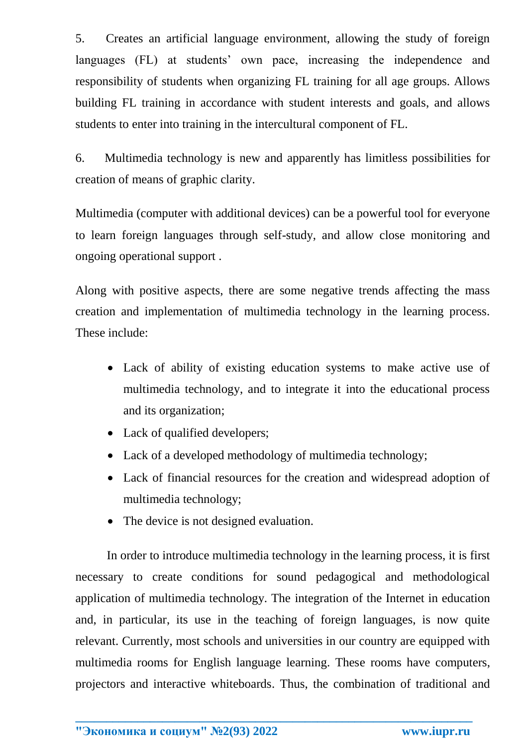5. Creates an artificial language environment, allowing the study of foreign languages (FL) at students' own pace, increasing the independence and responsibility of students when organizing FL training for all age groups. Allows building FL training in accordance with student interests and goals, and allows students to enter into training in the intercultural component of FL.

6. Multimedia technology is new and apparently has limitless possibilities for creation of means of graphic clarity.

Multimedia (computer with additional devices) can be a powerful tool for everyone to learn foreign languages through self-study, and allow close monitoring and ongoing operational support .

Along with positive aspects, there are some negative trends affecting the mass creation and implementation of multimedia technology in the learning process. These include:

- Lack of ability of existing education systems to make active use of multimedia technology, and to integrate it into the educational process and its organization;
- Lack of qualified developers;
- Lack of a developed methodology of multimedia technology;
- Lack of financial resources for the creation and widespread adoption of multimedia technology;
- The device is not designed evaluation.

In order to introduce multimedia technology in the learning process, it is first necessary to create conditions for sound pedagogical and methodological application of multimedia technology. The integration of the Internet in education and, in particular, its use in the teaching of foreign languages, is now quite relevant. Currently, most schools and universities in our country are equipped with multimedia rooms for English language learning. These rooms have computers, projectors and interactive whiteboards. Thus, the combination of traditional and